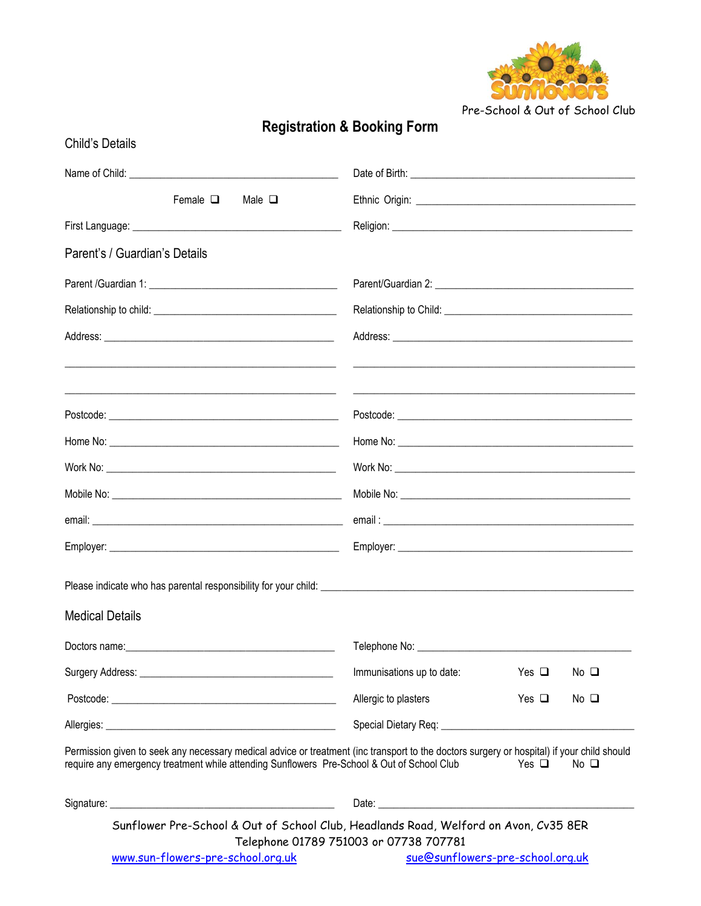

Pre-School & Out of School Club

| <b>Child's Details</b>                                                                                                                                                                                                                   |                                                                                                                                                                                                                                |               |                |
|------------------------------------------------------------------------------------------------------------------------------------------------------------------------------------------------------------------------------------------|--------------------------------------------------------------------------------------------------------------------------------------------------------------------------------------------------------------------------------|---------------|----------------|
|                                                                                                                                                                                                                                          |                                                                                                                                                                                                                                |               |                |
| Female $\Box$<br>Male $\Box$                                                                                                                                                                                                             |                                                                                                                                                                                                                                |               |                |
|                                                                                                                                                                                                                                          |                                                                                                                                                                                                                                |               |                |
| Parent's / Guardian's Details                                                                                                                                                                                                            |                                                                                                                                                                                                                                |               |                |
|                                                                                                                                                                                                                                          |                                                                                                                                                                                                                                |               |                |
|                                                                                                                                                                                                                                          |                                                                                                                                                                                                                                |               |                |
|                                                                                                                                                                                                                                          | <u> 1989 - Jan Barbara, martxa al II-lea (h. 1989).</u>                                                                                                                                                                        |               |                |
|                                                                                                                                                                                                                                          |                                                                                                                                                                                                                                |               |                |
|                                                                                                                                                                                                                                          |                                                                                                                                                                                                                                |               |                |
|                                                                                                                                                                                                                                          |                                                                                                                                                                                                                                |               |                |
|                                                                                                                                                                                                                                          |                                                                                                                                                                                                                                |               |                |
|                                                                                                                                                                                                                                          |                                                                                                                                                                                                                                |               |                |
|                                                                                                                                                                                                                                          |                                                                                                                                                                                                                                |               |                |
|                                                                                                                                                                                                                                          |                                                                                                                                                                                                                                |               |                |
| <b>Medical Details</b>                                                                                                                                                                                                                   |                                                                                                                                                                                                                                |               |                |
|                                                                                                                                                                                                                                          | Telephone No: _________                                                                                                                                                                                                        |               |                |
|                                                                                                                                                                                                                                          | Immunisations up to date:                                                                                                                                                                                                      | Yes $\square$ | $No$ $\square$ |
|                                                                                                                                                                                                                                          | Allergic to plasters                                                                                                                                                                                                           | Yes $\Box$    | $No$ $\square$ |
|                                                                                                                                                                                                                                          | Special Dietary Req: \\contact \\contact \\contact \\contact \\contact \\contact \\contact \\contact \\contact \\contact \\contact \\contact \\contact \\contact \\contact \\contact \\contact \\contact \\contact \\contact \ |               |                |
| Permission given to seek any necessary medical advice or treatment (inc transport to the doctors surgery or hospital) if your child should<br>require any emergency treatment while attending Sunflowers Pre-School & Out of School Club |                                                                                                                                                                                                                                | Yes $\Box$    | $No$ $\Box$    |
|                                                                                                                                                                                                                                          |                                                                                                                                                                                                                                |               |                |
| Sunflower Pre-School & Out of School Club, Headlands Road, Welford on Avon, Cv35 8ER                                                                                                                                                     | Telephone 01789 751003 or 07738 707781                                                                                                                                                                                         |               |                |
| www.sun-flowers-pre-school.org.uk                                                                                                                                                                                                        | sue@sunflowers-pre-school.org.uk                                                                                                                                                                                               |               |                |

## **Registration & Booking Form**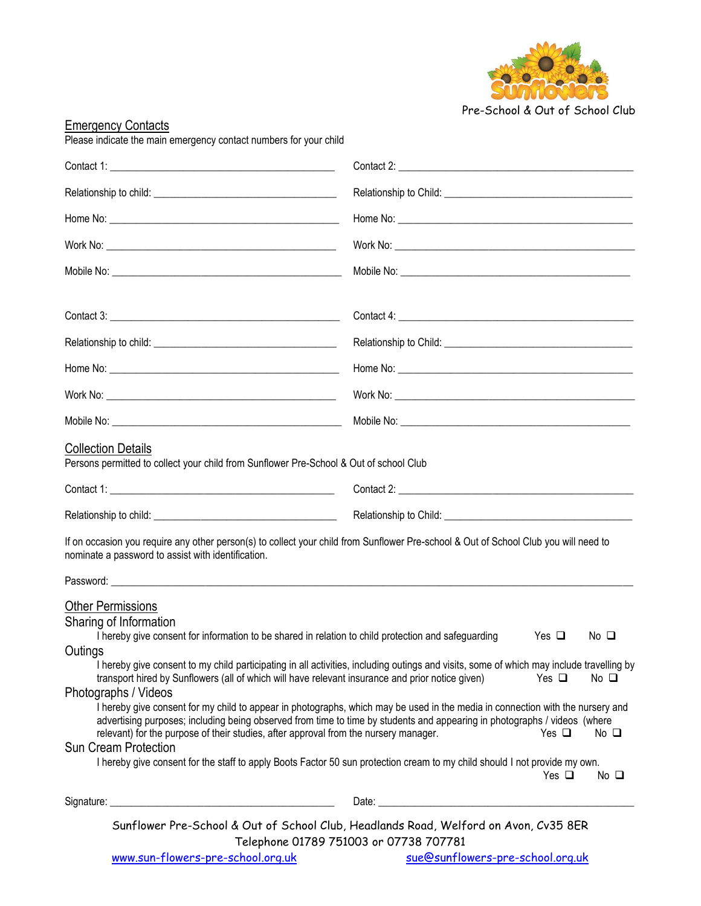

Pre-School & Out of School Club

| <b>Emergency Contacts</b><br>Please indicate the main emergency contact numbers for your child                                                                                                                                                                                                                                                                                                                          |                                                                                                                                                                                                                                                                                                                                                                                                                                                                                                                                                                                                                                                       |
|-------------------------------------------------------------------------------------------------------------------------------------------------------------------------------------------------------------------------------------------------------------------------------------------------------------------------------------------------------------------------------------------------------------------------|-------------------------------------------------------------------------------------------------------------------------------------------------------------------------------------------------------------------------------------------------------------------------------------------------------------------------------------------------------------------------------------------------------------------------------------------------------------------------------------------------------------------------------------------------------------------------------------------------------------------------------------------------------|
|                                                                                                                                                                                                                                                                                                                                                                                                                         |                                                                                                                                                                                                                                                                                                                                                                                                                                                                                                                                                                                                                                                       |
|                                                                                                                                                                                                                                                                                                                                                                                                                         |                                                                                                                                                                                                                                                                                                                                                                                                                                                                                                                                                                                                                                                       |
|                                                                                                                                                                                                                                                                                                                                                                                                                         |                                                                                                                                                                                                                                                                                                                                                                                                                                                                                                                                                                                                                                                       |
|                                                                                                                                                                                                                                                                                                                                                                                                                         |                                                                                                                                                                                                                                                                                                                                                                                                                                                                                                                                                                                                                                                       |
|                                                                                                                                                                                                                                                                                                                                                                                                                         |                                                                                                                                                                                                                                                                                                                                                                                                                                                                                                                                                                                                                                                       |
|                                                                                                                                                                                                                                                                                                                                                                                                                         |                                                                                                                                                                                                                                                                                                                                                                                                                                                                                                                                                                                                                                                       |
|                                                                                                                                                                                                                                                                                                                                                                                                                         |                                                                                                                                                                                                                                                                                                                                                                                                                                                                                                                                                                                                                                                       |
|                                                                                                                                                                                                                                                                                                                                                                                                                         |                                                                                                                                                                                                                                                                                                                                                                                                                                                                                                                                                                                                                                                       |
|                                                                                                                                                                                                                                                                                                                                                                                                                         |                                                                                                                                                                                                                                                                                                                                                                                                                                                                                                                                                                                                                                                       |
|                                                                                                                                                                                                                                                                                                                                                                                                                         |                                                                                                                                                                                                                                                                                                                                                                                                                                                                                                                                                                                                                                                       |
| <b>Collection Details</b><br>Persons permitted to collect your child from Sunflower Pre-School & Out of school Club                                                                                                                                                                                                                                                                                                     |                                                                                                                                                                                                                                                                                                                                                                                                                                                                                                                                                                                                                                                       |
|                                                                                                                                                                                                                                                                                                                                                                                                                         |                                                                                                                                                                                                                                                                                                                                                                                                                                                                                                                                                                                                                                                       |
|                                                                                                                                                                                                                                                                                                                                                                                                                         |                                                                                                                                                                                                                                                                                                                                                                                                                                                                                                                                                                                                                                                       |
| nominate a password to assist with identification.                                                                                                                                                                                                                                                                                                                                                                      | If on occasion you require any other person(s) to collect your child from Sunflower Pre-school & Out of School Club you will need to                                                                                                                                                                                                                                                                                                                                                                                                                                                                                                                  |
|                                                                                                                                                                                                                                                                                                                                                                                                                         |                                                                                                                                                                                                                                                                                                                                                                                                                                                                                                                                                                                                                                                       |
| <b>Other Permissions</b><br>Sharing of Information<br>I hereby give consent for information to be shared in relation to child protection and safeguarding<br>Outings<br>transport hired by Sunflowers (all of which will have relevant insurance and prior notice given)<br>Photographs / Videos<br>relevant) for the purpose of their studies, after approval from the nursery manager.<br><b>Sun Cream Protection</b> | Yes $\Box$<br>$No$ $\square$<br>I hereby give consent to my child participating in all activities, including outings and visits, some of which may include travelling by<br>Yes $\Box$<br>$No$ $\Box$<br>I hereby give consent for my child to appear in photographs, which may be used in the media in connection with the nursery and<br>advertising purposes; including being observed from time to time by students and appearing in photographs / videos (where<br>Yes $\Box$<br>$No$ $\Box$<br>I hereby give consent for the staff to apply Boots Factor 50 sun protection cream to my child should I not provide my own.<br>Yes $\Box$<br>No □ |
|                                                                                                                                                                                                                                                                                                                                                                                                                         |                                                                                                                                                                                                                                                                                                                                                                                                                                                                                                                                                                                                                                                       |
| www.sun-flowers-pre-school.org.uk                                                                                                                                                                                                                                                                                                                                                                                       | Sunflower Pre-School & Out of School Club, Headlands Road, Welford on Avon, Cv35 8ER<br>Telephone 01789 751003 or 07738 707781<br>sue@sunflowers-pre-school.org.uk                                                                                                                                                                                                                                                                                                                                                                                                                                                                                    |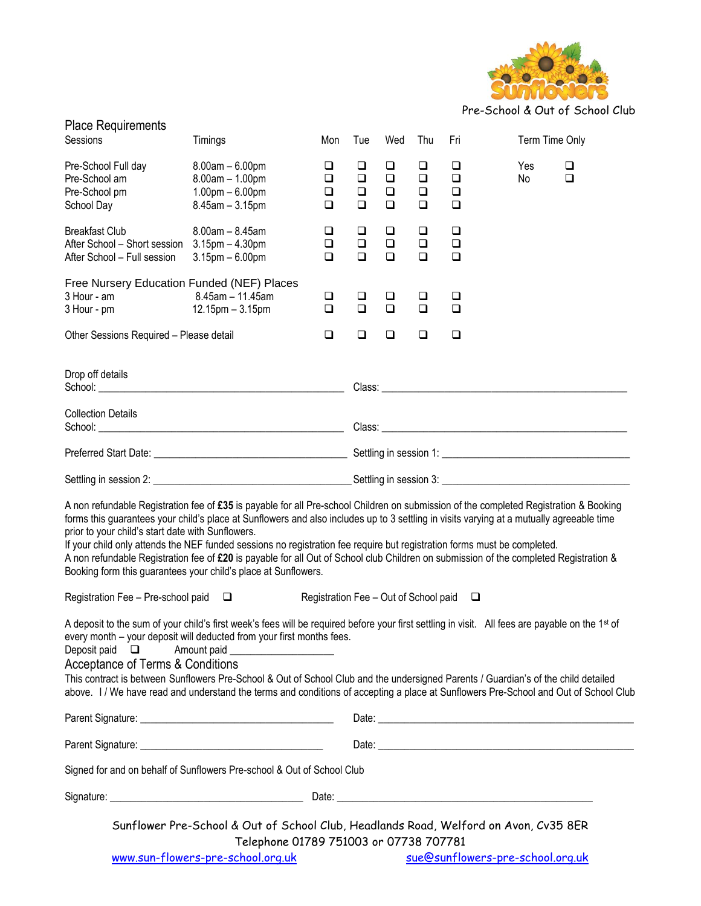

Pre-School & Out of School Club

| <b>Place Requirements</b><br>Sessions                                                                                                                                                                                                                                                                                                                                                                                                                                                                                                                                                                                                                                         | Timings                                                                                                                                                                                                                                                                                                                                                                                                                                                                                                             | Mon                             | Tue                                  | Wed                                  | Thu                                  | Fri                             |  | Term Time Only                   |             |
|-------------------------------------------------------------------------------------------------------------------------------------------------------------------------------------------------------------------------------------------------------------------------------------------------------------------------------------------------------------------------------------------------------------------------------------------------------------------------------------------------------------------------------------------------------------------------------------------------------------------------------------------------------------------------------|---------------------------------------------------------------------------------------------------------------------------------------------------------------------------------------------------------------------------------------------------------------------------------------------------------------------------------------------------------------------------------------------------------------------------------------------------------------------------------------------------------------------|---------------------------------|--------------------------------------|--------------------------------------|--------------------------------------|---------------------------------|--|----------------------------------|-------------|
| Pre-School Full day<br>Pre-School am<br>Pre-School pm<br>School Day                                                                                                                                                                                                                                                                                                                                                                                                                                                                                                                                                                                                           | $8.00am - 6.00pm$<br>$8.00am - 1.00pm$<br>$1.00$ pm $- 6.00$ pm<br>$8.45$ am $-3.15$ pm                                                                                                                                                                                                                                                                                                                                                                                                                             | $\Box$<br>$\Box$<br>$\Box$<br>◻ | $\Box$<br>$\Box$<br>$\Box$<br>$\Box$ | $\Box$<br>$\Box$<br>$\Box$<br>$\Box$ | $\Box$<br>$\Box$<br>$\Box$<br>$\Box$ | ❏<br>$\Box$<br>$\Box$<br>$\Box$ |  | Yes<br>No                        | ❏<br>$\Box$ |
| <b>Breakfast Club</b><br>After School - Short session 3.15pm - 4.30pm<br>After School - Full session                                                                                                                                                                                                                                                                                                                                                                                                                                                                                                                                                                          | $8.00am - 8.45am$<br>$3.15$ pm $-6.00$ pm                                                                                                                                                                                                                                                                                                                                                                                                                                                                           | $\Box$<br>$\Box$<br>$\Box$      | $\Box$<br>$\Box$<br>$\Box$           | $\Box$<br>$\Box$<br>$\Box$           | $\Box$<br>$\Box$<br>$\Box$           | $\Box$<br>$\Box$<br>$\Box$      |  |                                  |             |
| Free Nursery Education Funded (NEF) Places<br>3 Hour - am<br>3 Hour - pm                                                                                                                                                                                                                                                                                                                                                                                                                                                                                                                                                                                                      | 8.45am - 11.45am<br>$12.15$ pm $-3.15$ pm                                                                                                                                                                                                                                                                                                                                                                                                                                                                           | $\Box$<br>$\Box$                | $\Box$<br>$\Box$                     | $\Box$<br>$\Box$                     | $\Box$<br>$\Box$                     | $\Box$<br>$\Box$                |  |                                  |             |
| Other Sessions Required - Please detail                                                                                                                                                                                                                                                                                                                                                                                                                                                                                                                                                                                                                                       |                                                                                                                                                                                                                                                                                                                                                                                                                                                                                                                     | $\Box$                          | $\Box$                               | $\Box$                               | $\Box$                               | $\Box$                          |  |                                  |             |
| Drop off details                                                                                                                                                                                                                                                                                                                                                                                                                                                                                                                                                                                                                                                              |                                                                                                                                                                                                                                                                                                                                                                                                                                                                                                                     |                                 |                                      |                                      |                                      |                                 |  |                                  |             |
| <b>Collection Details</b>                                                                                                                                                                                                                                                                                                                                                                                                                                                                                                                                                                                                                                                     |                                                                                                                                                                                                                                                                                                                                                                                                                                                                                                                     |                                 |                                      |                                      |                                      |                                 |  |                                  |             |
|                                                                                                                                                                                                                                                                                                                                                                                                                                                                                                                                                                                                                                                                               |                                                                                                                                                                                                                                                                                                                                                                                                                                                                                                                     |                                 |                                      |                                      |                                      |                                 |  |                                  |             |
|                                                                                                                                                                                                                                                                                                                                                                                                                                                                                                                                                                                                                                                                               |                                                                                                                                                                                                                                                                                                                                                                                                                                                                                                                     |                                 |                                      |                                      |                                      |                                 |  |                                  |             |
| A non refundable Registration fee of £35 is payable for all Pre-school Children on submission of the completed Registration & Booking<br>forms this guarantees your child's place at Sunflowers and also includes up to 3 settling in visits varying at a mutually agreeable time<br>prior to your child's start date with Sunflowers.<br>If your child only attends the NEF funded sessions no registration fee require but registration forms must be completed.<br>A non refundable Registration fee of £20 is payable for all Out of School club Children on submission of the completed Registration &<br>Booking form this guarantees your child's place at Sunflowers. |                                                                                                                                                                                                                                                                                                                                                                                                                                                                                                                     |                                 |                                      |                                      |                                      |                                 |  |                                  |             |
| Registration Fee - Pre-school paid $\square$<br>Registration Fee - Out of School paid $\square$                                                                                                                                                                                                                                                                                                                                                                                                                                                                                                                                                                               |                                                                                                                                                                                                                                                                                                                                                                                                                                                                                                                     |                                 |                                      |                                      |                                      |                                 |  |                                  |             |
| Deposit paid<br>$\Box$<br>Acceptance of Terms & Conditions                                                                                                                                                                                                                                                                                                                                                                                                                                                                                                                                                                                                                    | A deposit to the sum of your child's first week's fees will be required before your first settling in visit. All fees are payable on the 1st of<br>every month - your deposit will deducted from your first months fees.<br>Amount paid<br>This contract is between Sunflowers Pre-School & Out of School Club and the undersigned Parents / Guardian's of the child detailed<br>above. I/We have read and understand the terms and conditions of accepting a place at Sunflowers Pre-School and Out of School Club |                                 |                                      |                                      |                                      |                                 |  |                                  |             |
|                                                                                                                                                                                                                                                                                                                                                                                                                                                                                                                                                                                                                                                                               |                                                                                                                                                                                                                                                                                                                                                                                                                                                                                                                     |                                 |                                      |                                      |                                      |                                 |  |                                  |             |
|                                                                                                                                                                                                                                                                                                                                                                                                                                                                                                                                                                                                                                                                               |                                                                                                                                                                                                                                                                                                                                                                                                                                                                                                                     |                                 |                                      |                                      |                                      |                                 |  |                                  |             |
| Signed for and on behalf of Sunflowers Pre-school & Out of School Club                                                                                                                                                                                                                                                                                                                                                                                                                                                                                                                                                                                                        |                                                                                                                                                                                                                                                                                                                                                                                                                                                                                                                     |                                 |                                      |                                      |                                      |                                 |  |                                  |             |
|                                                                                                                                                                                                                                                                                                                                                                                                                                                                                                                                                                                                                                                                               |                                                                                                                                                                                                                                                                                                                                                                                                                                                                                                                     |                                 |                                      |                                      |                                      |                                 |  |                                  |             |
|                                                                                                                                                                                                                                                                                                                                                                                                                                                                                                                                                                                                                                                                               | Sunflower Pre-School & Out of School Club, Headlands Road, Welford on Avon, Cv35 8ER                                                                                                                                                                                                                                                                                                                                                                                                                                |                                 |                                      |                                      |                                      |                                 |  |                                  |             |
|                                                                                                                                                                                                                                                                                                                                                                                                                                                                                                                                                                                                                                                                               | Telephone 01789 751003 or 07738 707781<br>www.sun-flowers-pre-school.org.uk                                                                                                                                                                                                                                                                                                                                                                                                                                         |                                 |                                      |                                      |                                      |                                 |  | sue@sunflowers-pre-school.org.uk |             |